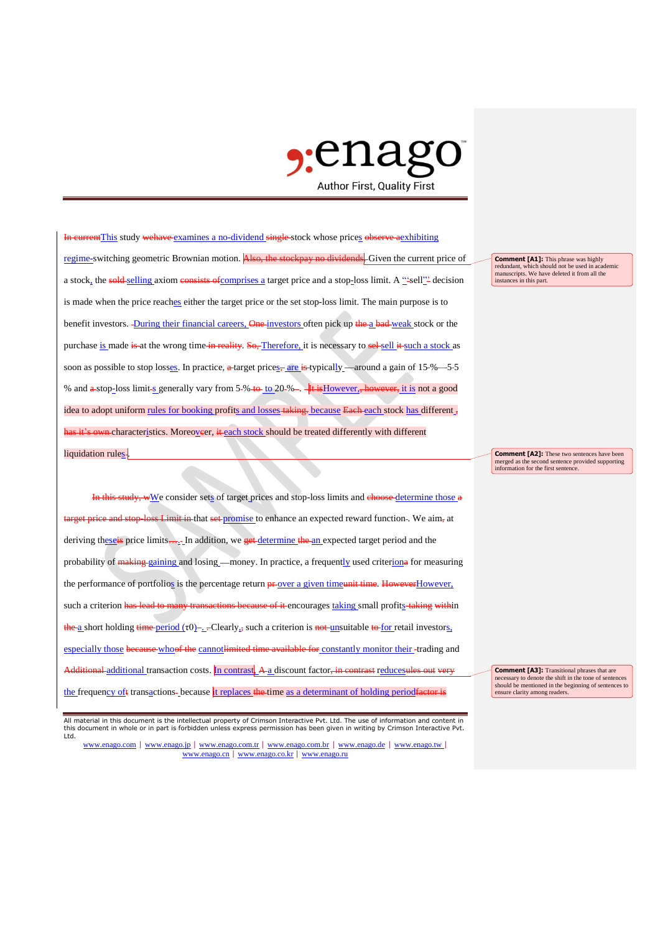

In currentThis study wehave examines a no-dividend single-stock whose prices observe aexhibiting regime-switching geometric Brownian motion. Also, the stockpay no dividends. Given the current price of a stock, the sold-selling axiom consists of comprises a target price and a stop-loss limit. A "-sell"- decision is made when the price reaches either the target price or the set stop-loss limit. The main purpose is to benefit investors. During their financial careers, One investors often pick up the a bad-weak stock or the purchase is made is at the wrong time in reality. So, Therefore, it is necessary to sel-sell it such a stock as soon as possible to stop losses. In practice, a target prices, are is typically around a gain of 15-% – -5-5 % and a stop-loss limit-s generally vary from 5-% to to 20-% -. It is However, however, it is not a good idea to adopt uniform rules for booking profits and losses taking. because Each each stock has different , has it's own characteristics. Moreoveer, it each stock should be treated differently with different liquidation rules-

In this study, wWe consider sets of target prices and stop-loss limits and choose-determine those a et price and stop-loss Limit in that set promise to enhance an expected reward function -. We aim, at deriving theseis price limits…. In addition, we get determine the an expected target period and the probability of making gaining and losing money. In practice, a frequently used criteriona for measuring the performance of portfolios is the percentage return **pr**-over a given timeunit time. HoweverHowever, such a criterion has lead to many transactions because of it encourages taking small profits-taking within  $\frac{\hbar\mathbf{e}}{2}$  short holding  $\frac{\hbar\mathbf{e}}{2}$  in  $\frac{\hbar\mathbf{e}}{2}$  .  $\frac{\hbar\mathbf{e}}{2}$  . Clearly<sub>5</sub> such a criterion is not-unsuitable to for retail investors, especially those because whoof the cannot limited time available for constantly monitor their-trading and Additional additional transaction costs. In contrast, A a discount factor<del>, in contrast</del> reducesules the frequency oft transactions-because it replaces the time as a determinant of holding period factor is

**Comment [A1]:** This phrase was highly redundant, which should not be used in academic manuscripts. We have deleted it from all the instances in this part.

**Comment [A2]:** These two sentences have been merged as the second sentence provided supporting information for the first sentence.

**Comment [A3]:** Transitional phrases that are necessary to denote the shift in the tone of sentences should be mentioned in the beginning of sentences to ensure clarity among readers.

All material in this document is the intellectual property of Crimson Interactive Pvt. Ltd. The use of information and content in this document in whole or in part is forbidden unless express permission has been given in writing by Crimson Interactive Pvt. Ltd.

www.enago.com | www.enago.jp | www.enago.com.tr | www.enago.com.br | www.enago.de | www.enago.tw | www.enago.cn | www.enago.co.kr | www.enago.ru